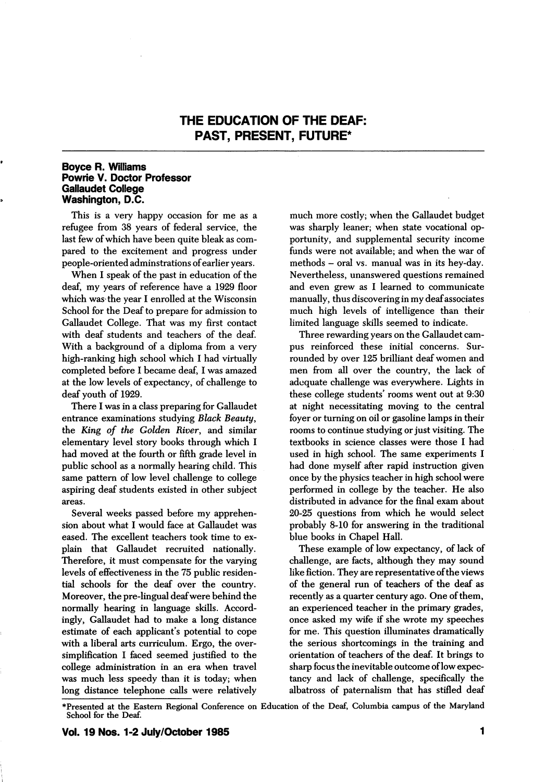## THE EDUCATION OF THE DEAF; PAST, PRESENT, FUTURE\*

## Boyce R. Williams Powrie V. Doctor Professor Gailaudet College Washington, D.C.

This is a very happy occasion for me as a refugee from 38 years of federal service, the last few of which have been quite bleak as com pared to the excitement and progress under people-oriented adminstrations of earlier years.

When I speak of the past in education of the deaf, my years of reference have a 1929 floor which was the year I enrolled at the Wisconsin School for the Deaf to prepare for admission to Gailaudet College. That was my first contact with deaf students and teachers of the deaf. With a background of a diploma from a very high-ranking high school which I had virtually completed before I became deaf, I was amazed at the low levels of expectancy, of challenge to deaf youth of 1929.

There I was in a class preparing for Gallaudet entrance examinations studying Black Beauty, the King of the Golden River, and similar elementary level story books through which I had moved at the fourth or fifth grade level in public school as a normally hearing child. This same pattern of low level challenge to college aspiring deaf students existed in other subject areas.

Several weeks passed before my apprehen sion about what I would face at Gallaudet was eased. The excellent teachers took time to ex plain that Gallaudet recruited nationally. Therefore, it must compensate for the varying levels of effectiveness in the 75 public residen tial schools for the deaf over the country. Moreover, the pre-lingual deaf were behind the normally hearing in language skills. Accord ingly, Gallaudet had to make a long distance estimate of each applicant's potential to cope with a liberal arts curriculum. Ergo, the over simplification I faced seemed justified to the college administration in an era when travel was much less speedy than it is today; when long distance telephone calls were relatively

much more costly; when the Gailaudet budget was sharply leaner; when state vocational op portunity, and supplemental security income funds were not available; and when the war of methods - oral vs. manual was in its hey-day. Nevertheless, unanswered questions remained and even grew as I learned to communicate manually, thus discovering in my deaf associates much high levels of intelligence than their limited language skills seemed to indicate.

Three rewarding years on the Gallaudet campus reinforced these initial concerns. Sur rounded by over 125 brilliant deaf women and men from all over the country, the lack of adequate challenge was everywhere. Lights in these college students' rooms went out at 9:30 at night necessitating moving to the central foyer or turning on oil or gasoline lamps in their rooms to continue studying or just visiting. The textbooks in science classes were those I had used in high school. The same experiments I had done myself after rapid instruction given once by the physics teacher in high school were performed in college by the teacher. He also distributed in advance for the final exam about 20-25 questions from which he would select probably 8-10 for answering in the traditional blue books in Chapel Hall.

These example of low expectancy, of lack of challenge, are facts, although they may sound like fiction. They are representative of the views of the general run of teachers of the deaf as recently as a quarter century ago. One of them, an experienced teacher in the primary grades, once asked my wife if she wrote my speeches for me. This question illuminates dramatically the serious shortcomings in the training and orientation of teachers of the deaf. It brings to sharp focus the inevitable outcome of low expec tancy and lack of challenge, specifically the albatross of paternalism that has stifled deaf

<sup>\*</sup>Presented at the Eastern Regional Conference on Education of the Deaf, Columbia campus of the Maryland School for the Deaf.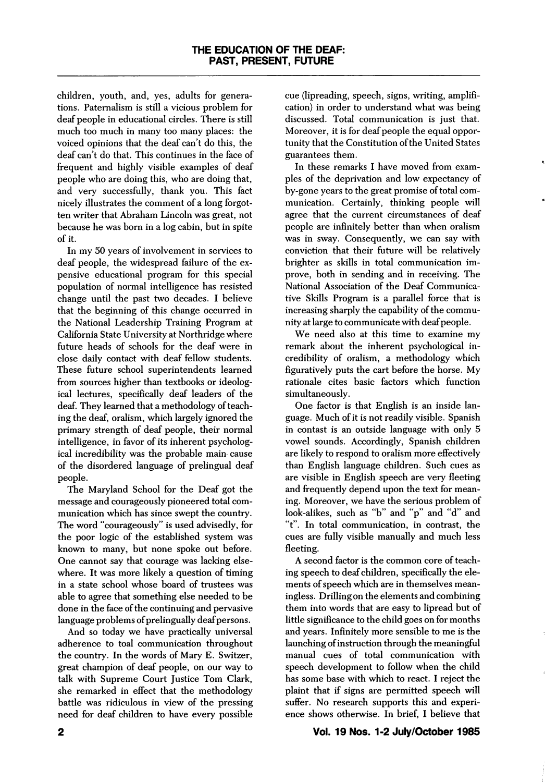children, youth, and, yes, adults for genera tions. Paternalism is still a vicious problem for deaf people in educational circles. There is still much too much in many too many places: the voiced opinions that the deaf can't do this, the deaf can't do that. This continues in the face of frequent and highly visible examples of deaf people who are doing this, who are doing that, and very successfully, thank you. This fact nicely illustrates the comment of a long forgot ten writer that Abraham Lincoln was great, not because he was born in a log cabin, but in spite of it.

In my 50 years of involvement in services to deaf people, the widespread failure of the ex pensive educational program for this special population of normal intelligence has resisted change until the past two decades. I believe that the beginning of this change occurred in the National Leadership Training Program at California State University at Northridge where future heads of schools for the deaf were in close daily contact with deaf fellow students. These future school superintendents learned from sources higher than textbooks or ideolog ical lectures, specifically deaf leaders of the deaf. They learned that a methodology of teach ing the deaf, oralism, which largely ignored the primary strength of deaf people, their normal intelligence, in favor of its inherent psycholog ical incredibility was the probable main cause of the disordered language of prelingual deaf people.

The Maryland School for the Deaf got the message and courageously pioneered total com munication which has since swept the country. The word "courageously" is used advisedly, for the poor logic of the established system was known to many, but none spoke out before. One cannot say that courage was lacking else where. It was more likely a question of timing in a state school whose board of trustees was able to agree that something else needed to be done in the face of the continuing and pervasive language problems of prelingually deaf persons.

And so today we have practically universal adherence to toal communication throughout the country. In the words of Mary E. Switzer, great champion of deaf people, on our way to talk with Supreme Court Justice Tom Clark, she remarked in effect that the methodology battle was ridiculous in view of the pressing need for deaf children to have every possible cue (lipreading, speech, signs, writing, amplifi cation) in order to understand what was being discussed. Total communication is just that. Moreover, it is for deaf people the equal oppor tunity that the Constitution of the United States guarantees them.

In these remarks I have moved from exam ples of the deprivation and low expectancy of by-gone years to the great promise of total com munication. Certainly, thinking people will agree that the current circumstances of deaf people are infinitely better than when oralism was in sway. Consequently, we can say with conviction that their future will be relatively brighter as skills in total communication im prove, both in sending and in receiving. The National Association of the Deaf Communica tive Skills Program is a parallel force that is increasing sharply the capability of the commu nity at large to communicate with deaf people.

We need also at this time to examine my remark about the inherent psychological in credibility of oralism, a methodology which figuratively puts the cart before the horse. My rationale cites basic factors which function simultaneously.

One factor is that English is an inside lan guage. Much of it is not readily visible. Spanish in contast is an outside language with only 5 vowel sounds. Accordingly, Spanish children are likely to respond to oralism more effectively than English language children. Such cues as are visible in English speech are very fleeting and frequently depend upon the text for mean ing. Moreover, we have the serious problem of look-alikes, such as "b" and "p" and "d" and "t". In total communication, in contrast, the cues are fully visible manually and much less fleeting.

A second factor is the common core of teach ing speech to deaf children, specifically the ele ments of speech which are in themselves mean ingless. Drilling on the elements and combining them into words that are easy to lipread but of little significance to the child goes on for months and years. Infinitely more sensible to me is the launching of instruction through the meaningful manual cues of total communication with speech development to follow when the child has some base with which to react. I reject the plaint that if signs are permitted speech will suffer. No research supports this and experi ence shows otherwise. In brief, I believe that

## Vol. 19 Nos. 1-2 July/October 1985